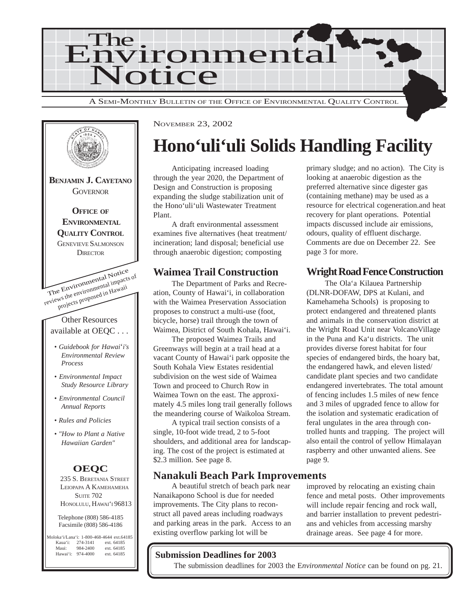



## **Hono'uli'uli Solids Handling Facility**

Anticipating increased loading through the year 2020, the Department of Design and Construction is proposing expanding the sludge stabilization unit of the Hono'uli'uli Wastewater Treatment Plant.

A draft environmental assessment examines five alternatives (heat treatment/ incineration; land disposal; beneficial use through anaerobic digestion; composting

### **Waimea Trail Construction**

The Department of Parks and Recreation, County of Hawai'i, in collaboration with the Waimea Preservation Association proposes to construct a multi-use (foot, bicycle, horse) trail through the town of Waimea, District of South Kohala, Hawai'i.

The proposed Waimea Trails and Greenways will begin at a trail head at a vacant County of Hawai'i park opposite the South Kohala View Estates residential subdivision on the west side of Waimea Town and proceed to Church Row in Waimea Town on the east. The approximately 4.5 miles long trail generally follows the meandering course of Waikoloa Stream.

A typical trail section consists of a single, 10-foot wide tread, 2 to 5-foot shoulders, and additional area for landscaping. The cost of the project is estimated at \$2.3 million. See page 8.

### **Nanakuli Beach Park Improvements**

A beautiful stretch of beach park near Nanaikapono School is due for needed improvements. The City plans to reconstruct all paved areas including roadways and parking areas in the park. Access to an existing overflow parking lot will be

improved by relocating an existing chain fence and metal posts. Other improvements will include repair fencing and rock wall, and barrier installation to prevent pedestrians and vehicles from accessing marshy drainage areas. See page 4 for more.

### **Submission Deadlines for 2003**

The submission deadlines for 2003 the E*nvironmental Notice* can be found on pg. 21.

primary sludge; and no action). The City is looking at anaerobic digestion as the preferred alternative since digester gas (containing methane) may be used as a resource for electrical cogeneration.and heat recovery for plant operations. Potential impacts discussed include air emissions, odours, quality of effluent discharge. Comments are due on December 22. See page 3 for more.

### **Wright Road Fence Construction**

The Ola'a Kilauea Partnership (DLNR-DOFAW, DPS at Kulani, and Kamehameha Schools) is proposing to protect endangered and threatened plants and animals in the conservation district at the Wright Road Unit near VolcanoVillage in the Puna and Ka'u districts. The unit provides diverse forest habitat for four species of endangered birds, the hoary bat, the endangered hawk, and eleven listed/ candidate plant species and two candidate endangered invertebrates. The total amount of fencing includes 1.5 miles of new fence and 3 miles of upgraded fence to allow for the isolation and systematic eradication of feral ungulates in the area through controlled hunts and trapping. The project will also entail the control of yellow Himalayan raspberry and other unwanted aliens. See page 9.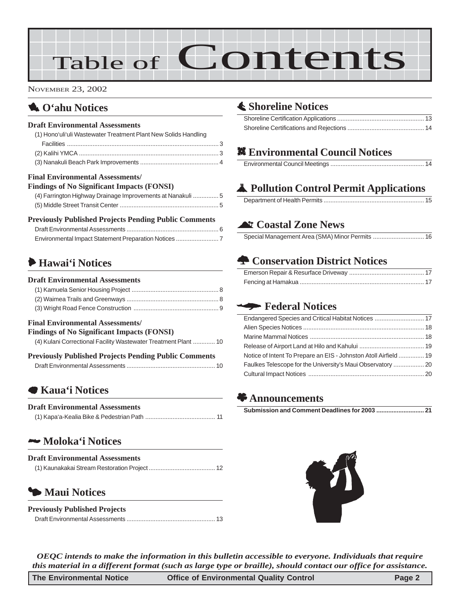# Table of Contents

NOVEMBER 23, 2002

### 1 **O'ahu Notices**

#### **Draft Environmental Assessments**

| (1) Hono'uli'uli Wastewater Treatment Plant New Solids Handling |  |
|-----------------------------------------------------------------|--|
|                                                                 |  |
|                                                                 |  |
|                                                                 |  |
| <b>Final Environmental Assessments/</b>                         |  |

#### **Findings of No Significant Impacts (FONSI)**

| FINQUIES OF IND SIGNIFICANT HIIDACLS (FUNSI)                |  |
|-------------------------------------------------------------|--|
| (4) Farrington Highway Drainage Improvements at Nanakuli  5 |  |
|                                                             |  |

#### **Previously Published Projects Pending Public Comments**

### 6 **Hawai'i Notices**

#### **Draft Environmental Assessments**

#### **Final Environmental Assessments/**

### **Findings of No Significant Impacts (FONSI)**

| (4) Kulani Correctional Facility Wastewater Treatment Plant  10 |
|-----------------------------------------------------------------|
|-----------------------------------------------------------------|

| <b>Previously Published Projects Pending Public Comments</b> |  |
|--------------------------------------------------------------|--|
|                                                              |  |

### 7 **Kaua'i Notices**

| <b>Draft Environmental Assessments</b> |  |
|----------------------------------------|--|
|                                        |  |

### 2 **Moloka'i Notices**

| <b>Draft Environmental Assessments</b> |  |
|----------------------------------------|--|
|                                        |  |

### 3 **[Maui Notices](#page-12-0)**

| <b>Previously Published Projects</b> |  |
|--------------------------------------|--|
|                                      |  |

### s **Shoreline Notices**

### **. Environmental Council Notices**

### V **Pollution Control Permit Applications**

Department of Health Permits ........................................................... 15

### ^ **Coastal Zone News**

[Special Management Area \(SMA\) Minor Permits](#page-15-0) .............................. 16

### **<del>n</del>** Conservation District Notices

### W **Federal Notices**

| Notice of Intent To Prepare an EIS - Johnston Atoll Airfield  19 |  |
|------------------------------------------------------------------|--|
|                                                                  |  |
|                                                                  |  |
|                                                                  |  |

### **Announcements**



*OEQC intends to make the information in this bulletin accessible to everyone. Individuals that require this material in a different format (such as large type or braille), should contact our office for assistance.*

| The Environmental Notice | <b>Office of Environmental Quality Control</b> | Page 2 |
|--------------------------|------------------------------------------------|--------|
|--------------------------|------------------------------------------------|--------|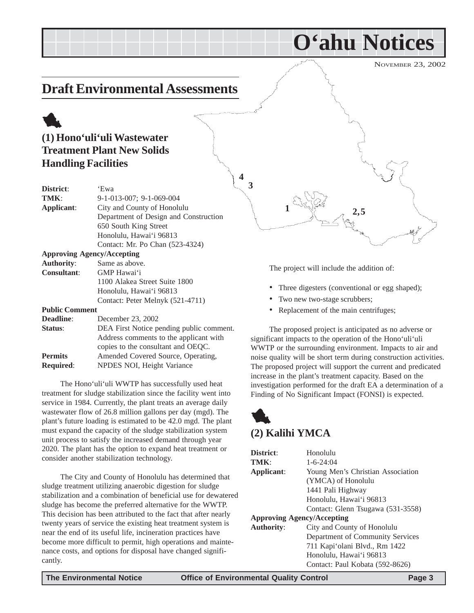### <span id="page-2-0"></span>**Draft Environmental Assessments**

### 1 **(1) Hono'uli'uli Wastewater Treatment Plant New Solids Handling Facilities**

| District:             | 'Ewa                                     |
|-----------------------|------------------------------------------|
| TMK:                  | $9-1-013-007$ ; $9-1-069-004$            |
| Applicant:            | City and County of Honolulu              |
|                       | Department of Design and Construction    |
|                       | 650 South King Street                    |
|                       | Honolulu, Hawai'i 96813                  |
|                       | Contact: Mr. Po Chan (523-4324)          |
|                       | <b>Approving Agency/Accepting</b>        |
| <b>Authority:</b>     | Same as above.                           |
| <b>Consultant:</b>    | GMP Hawai'i                              |
|                       | 1100 Alakea Street Suite 1800            |
|                       | Honolulu, Hawai'i 96813                  |
|                       | Contact: Peter Melnyk (521-4711)         |
| <b>Public Comment</b> |                                          |
| Deadline:             | December 23, 2002                        |
| Status:               | DEA First Notice pending public comment. |
|                       | Address comments to the applicant with   |
|                       | copies to the consultant and OEQC.       |
| <b>Permits</b>        | Amended Covered Source, Operating,       |

The Hono'uli'uli WWTP has successfully used heat treatment for sludge stabilization since the facility went into service in 1984. Currently, the plant treats an average daily wastewater flow of 26.8 million gallons per day (mgd). The plant's future loading is estimated to be 42.0 mgd. The plant must expand the capacity of the sludge stabilization system unit process to satisfy the increased demand through year 2020. The plant has the option to expand heat treatment or consider another stabilization technology.

**Required**: NPDES NOI, Height Variance

The City and County of Honolulu has determined that sludge treatment utilizing anaerobic digestion for sludge stabilization and a combination of beneficial use for dewatered sludge has become the preferred alternative for the WWTP. This decision has been attributed to the fact that after nearly twenty years of service the existing heat treatment system is near the end of its useful life, incineration practices have become more difficult to permit, high operations and maintenance costs, and options for disposal have changed significantly.



**O'ahu Notices**

The project will include the addition of:

- Three digesters (conventional or egg shaped);
- Two new two-stage scrubbers;
- Replacement of the main centrifuges;

The proposed project is anticipated as no adverse or significant impacts to the operation of the Hono'uli'uli WWTP or the surrounding environment. Impacts to air and noise quality will be short term during construction activities. The proposed project will support the current and predicated increase in the plant's treatment capacity. Based on the investigation performed for the draft EA a determination of a Finding of No Significant Impact (FONSI) is expected.

### 1 **(2) Kalihi YMCA**

| District:                         | Honolulu                          |
|-----------------------------------|-----------------------------------|
| <b>TMK:</b>                       | $1 - 6 - 24:04$                   |
| Applicant:                        | Young Men's Christian Association |
|                                   | (YMCA) of Honolulu                |
|                                   | 1441 Pali Highway                 |
|                                   | Honolulu, Hawai'i 96813           |
|                                   | Contact: Glenn Tsugawa (531-3558) |
| <b>Approving Agency/Accepting</b> |                                   |
| <b>Authority:</b>                 | City and County of Honolulu       |
|                                   | Department of Community Services  |
|                                   | 711 Kapi'olani Blvd., Rm 1422     |
|                                   | Honolulu, Hawai'i 96813           |
|                                   | Contact: Paul Kobata (592-8626)   |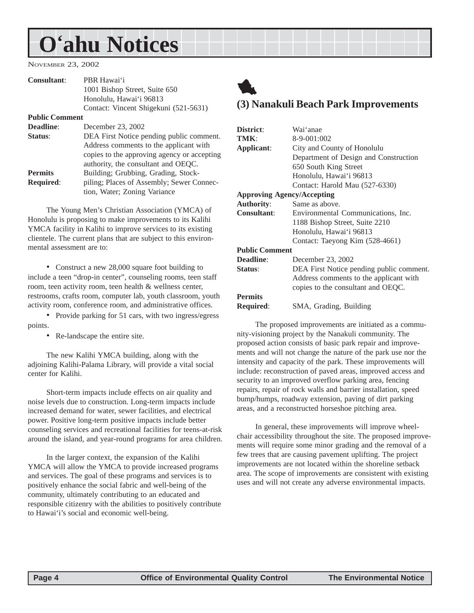## <span id="page-3-0"></span>**O'ahu Notices**

NOVEMBER 23, 2002

| <b>Consultant:</b>    | PBR Hawai'i                                 |
|-----------------------|---------------------------------------------|
|                       | 1001 Bishop Street, Suite 650               |
|                       | Honolulu, Hawai'i 96813                     |
|                       | Contact: Vincent Shigekuni (521-5631)       |
| <b>Public Comment</b> |                                             |
| Deadline:             | December 23, 2002                           |
| <b>Status:</b>        | DEA First Notice pending public comment.    |
|                       | Address comments to the applicant with      |
|                       | copies to the approving agency or accepting |
|                       | authority, the consultant and OEQC.         |
| <b>Permits</b>        | Building; Grubbing, Grading, Stock-         |
| <b>Required:</b>      | piling; Places of Assembly; Sewer Connec-   |
|                       | tion, Water; Zoning Variance                |
|                       |                                             |

The Young Men's Christian Association (YMCA) of Honolulu is proposing to make improvements to its Kalihi YMCA facility in Kalihi to improve services to its existing clientele. The current plans that are subject to this environmental assessment are to:

• Construct a new 28,000 square foot building to include a teen "drop-in center", counseling rooms, teen staff room, teen activity room, teen health & wellness center, restrooms, crafts room, computer lab, youth classroom, youth activity room, conference room, and administrative offices.

• Provide parking for 51 cars, with two ingress/egress points.

• Re-landscape the entire site.

The new Kalihi YMCA building, along with the adjoining Kalihi-Palama Library, will provide a vital social center for Kalihi.

Short-term impacts include effects on air quality and noise levels due to construction. Long-term impacts include increased demand for water, sewer facilities, and electrical power. Positive long-term positive impacts include better counseling services and recreational facilities for teens-at-risk around the island, and year-round programs for area children.

In the larger context, the expansion of the Kalihi YMCA will allow the YMCA to provide increased programs and services. The goal of these programs and services is to positively enhance the social fabric and well-being of the community, ultimately contributing to an educated and responsible citizenry with the abilities to positively contribute to Hawai'i's social and economic well-being.

### 1 **(3) Nanakuli Beach Park Improvements**

| District:                         | Wai'anae                                 |
|-----------------------------------|------------------------------------------|
| TMK:                              | 8-9-001:002                              |
| Applicant:                        | City and County of Honolulu              |
|                                   | Department of Design and Construction    |
|                                   | 650 South King Street                    |
|                                   | Honolulu, Hawai'i 96813                  |
|                                   | Contact: Harold Mau (527-6330)           |
| <b>Approving Agency/Accepting</b> |                                          |
| <b>Authority:</b>                 | Same as above.                           |
| <b>Consultant:</b>                | Environmental Communications, Inc.       |
|                                   | 1188 Bishop Street, Suite 2210           |
|                                   | Honolulu, Hawai'i 96813                  |
|                                   | Contact: Taeyong Kim (528-4661)          |
| <b>Public Comment</b>             |                                          |
| <b>Deadline:</b>                  | December 23, 2002                        |
| Status:                           | DEA First Notice pending public comment. |
|                                   | Address comments to the applicant with   |
|                                   | copies to the consultant and OEQC.       |
| <b>Permits</b>                    |                                          |
| Required:                         | SMA, Grading, Building                   |
|                                   |                                          |

The proposed improvements are initiated as a community-visioning project by the Nanakuli community. The proposed action consists of basic park repair and improvements and will not change the nature of the park use nor the intensity and capacity of the park. These improvements will include: reconstruction of paved areas, improved access and security to an improved overflow parking area, fencing repairs, repair of rock walls and barrier installation, speed bump/humps, roadway extension, paving of dirt parking areas, and a reconstructed horseshoe pitching area.

In general, these improvements will improve wheelchair accessibility throughout the site. The proposed improvements will require some minor grading and the removal of a few trees that are causing pavement uplifting. The project improvements are not located within the shoreline setback area. The scope of improvements are consistent with existing uses and will not create any adverse environmental impacts.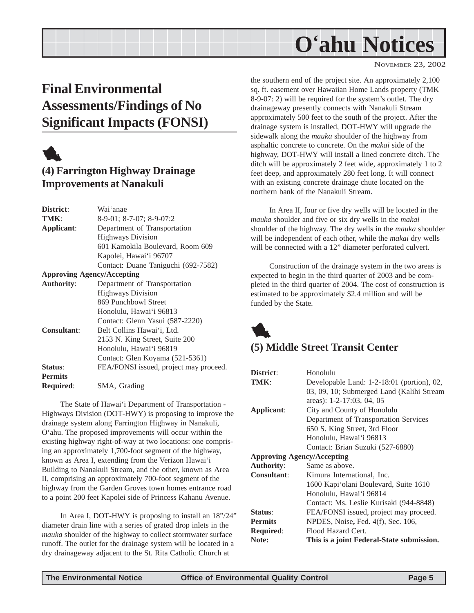## **O'ahu Notices**

#### NOVEMBER 23, 2002

### <span id="page-4-0"></span>**Final Environmental Assessments/Findings of No Significant Impacts (FONSI)**



### **(4) Farrington Highway Drainage Improvements at Nanakuli**

| District:                         | Wai'anae                               |
|-----------------------------------|----------------------------------------|
| TMK:                              | 8-9-01; 8-7-07; 8-9-07:2               |
| Applicant:                        | Department of Transportation           |
|                                   | <b>Highways Division</b>               |
|                                   | 601 Kamokila Boulevard, Room 609       |
|                                   | Kapolei, Hawai'i 96707                 |
|                                   | Contact: Duane Taniguchi (692-7582)    |
| <b>Approving Agency/Accepting</b> |                                        |
| <b>Authority:</b>                 | Department of Transportation           |
|                                   | <b>Highways Division</b>               |
|                                   | 869 Punchbowl Street                   |
|                                   | Honolulu, Hawai'i 96813                |
|                                   | Contact: Glenn Yasui (587-2220)        |
| <b>Consultant:</b>                | Belt Collins Hawai'i, Ltd.             |
|                                   | 2153 N. King Street, Suite 200         |
|                                   | Honolulu, Hawai'i 96819                |
|                                   | Contact: Glen Koyama (521-5361)        |
| Status:                           | FEA/FONSI issued, project may proceed. |
| <b>Permits</b>                    |                                        |
| <b>Required:</b>                  | SMA, Grading                           |

The State of Hawai'i Department of Transportation - Highways Division (DOT-HWY) is proposing to improve the drainage system along Farrington Highway in Nanakuli, O'ahu. The proposed improvements will occur within the existing highway right-of-way at two locations: one comprising an approximately 1,700-foot segment of the highway, known as Area I, extending from the Verizon Hawai'i Building to Nanakuli Stream, and the other, known as Area II, comprising an approximately 700-foot segment of the highway from the Garden Groves town homes entrance road to a point 200 feet Kapolei side of Princess Kahanu Avenue.

In Area I, DOT-HWY is proposing to install an 18"/24" diameter drain line with a series of grated drop inlets in the *mauka* shoulder of the highway to collect stormwater surface runoff. The outlet for the drainage system will be located in a dry drainageway adjacent to the St. Rita Catholic Church at

the southern end of the project site. An approximately 2,100 sq. ft. easement over Hawaiian Home Lands property (TMK 8-9-07: 2) will be required for the system's outlet. The dry drainageway presently connects with Nanakuli Stream approximately 500 feet to the south of the project. After the drainage system is installed, DOT-HWY will upgrade the sidewalk along the *mauka* shoulder of the highway from asphaltic concrete to concrete. On the *makai* side of the highway, DOT-HWY will install a lined concrete ditch. The ditch will be approximately 2 feet wide, approximately 1 to 2 feet deep, and approximately 280 feet long. It will connect with an existing concrete drainage chute located on the northern bank of the Nanakuli Stream.

In Area II, four or five dry wells will be located in the *mauka* shoulder and five or six dry wells in the *makai* shoulder of the highway. The dry wells in the *mauka* shoulder will be independent of each other, while the *makai* dry wells will be connected with a 12" diameter perforated culvert.

Construction of the drainage system in the two areas is expected to begin in the third quarter of 2003 and be completed in the third quarter of 2004. The cost of construction is estimated to be approximately \$2.4 million and will be funded by the State.



### **(5) Middle Street Transit Center**

| District:                         | Honolulu                                   |  |
|-----------------------------------|--------------------------------------------|--|
| TMK:                              | Developable Land: 1-2-18:01 (portion), 02, |  |
|                                   | 03, 09, 10; Submerged Land (Kalihi Stream  |  |
|                                   | areas): 1-2-17:03, 04, 05                  |  |
| Applicant:                        | City and County of Honolulu                |  |
|                                   | Department of Transportation Services      |  |
|                                   | 650 S. King Street, 3rd Floor              |  |
|                                   | Honolulu, Hawai'i 96813                    |  |
|                                   | Contact: Brian Suzuki (527-6880)           |  |
| <b>Approving Agency/Accepting</b> |                                            |  |
| <b>Authority:</b>                 | Same as above.                             |  |
| <b>Consultant:</b>                | Kimura International, Inc.                 |  |
|                                   | 1600 Kapi'olani Boulevard, Suite 1610      |  |
|                                   | Honolulu, Hawai'i 96814                    |  |
|                                   | Contact: Ms. Leslie Kurisaki (944-8848)    |  |
| Status:                           | FEA/FONSI issued, project may proceed.     |  |
| <b>Permits</b>                    | NPDES, Noise, Fed. 4(f), Sec. 106,         |  |
| <b>Required:</b>                  | Flood Hazard Cert.                         |  |
| Note:                             | This is a joint Federal-State submission.  |  |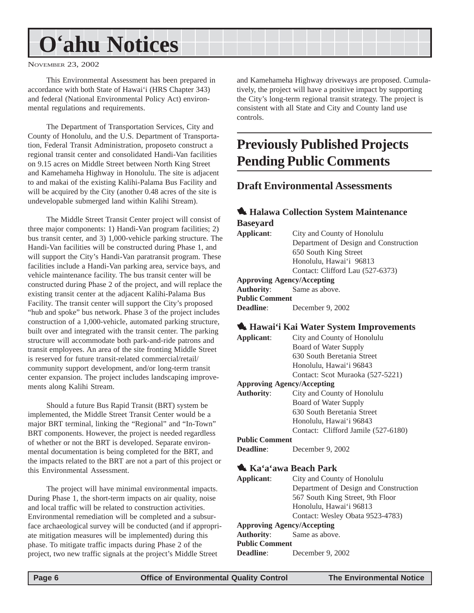## <span id="page-5-0"></span>**O'ahu Notices**

#### NOVEMBER 23, 2002

This Environmental Assessment has been prepared in accordance with both State of Hawai'i (HRS Chapter 343) and federal (National Environmental Policy Act) environmental regulations and requirements.

The Department of Transportation Services, City and County of Honolulu, and the U.S. Department of Transportation, Federal Transit Administration, proposeto construct a regional transit center and consolidated Handi-Van facilities on 9.15 acres on Middle Street between North King Street and Kamehameha Highway in Honolulu. The site is adjacent to and makai of the existing Kalihi-Palama Bus Facility and will be acquired by the City (another 0.48 acres of the site is undevelopable submerged land within Kalihi Stream).

The Middle Street Transit Center project will consist of three major components: 1) Handi-Van program facilities; 2) bus transit center, and 3) 1,000-vehicle parking structure. The Handi-Van facilities will be constructed during Phase 1, and will support the City's Handi-Van paratransit program. These facilities include a Handi-Van parking area, service bays, and vehicle maintenance facility. The bus transit center will be constructed during Phase 2 of the project, and will replace the existing transit center at the adjacent Kalihi-Palama Bus Facility. The transit center will support the City's proposed "hub and spoke" bus network. Phase 3 of the project includes construction of a 1,000-vehicle, automated parking structure, built over and integrated with the transit center. The parking structure will accommodate both park-and-ride patrons and transit employees. An area of the site fronting Middle Street is reserved for future transit-related commercial/retail/ community support development, and/or long-term transit center expansion. The project includes landscaping improvements along Kalihi Stream.

Should a future Bus Rapid Transit (BRT) system be implemented, the Middle Street Transit Center would be a major BRT terminal, linking the "Regional" and "In-Town" BRT components. However, the project is needed regardless of whether or not the BRT is developed. Separate environmental documentation is being completed for the BRT, and the impacts related to the BRT are not a part of this project or this Environmental Assessment.

The project will have minimal environmental impacts. During Phase 1, the short-term impacts on air quality, noise and local traffic will be related to construction activities. Environmental remediation will be completed and a subsurface archaeological survey will be conducted (and if appropriate mitigation measures will be implemented) during this phase. To mitigate traffic impacts during Phase 2 of the project, two new traffic signals at the project's Middle Street

and Kamehameha Highway driveways are proposed. Cumulatively, the project will have a positive impact by supporting the City's long-term regional transit strategy. The project is consistent with all State and City and County land use controls.

### **Previously Published Projects Pending Public Comments**

### **Draft Environmental Assessments**

### 1 **Halawa Collection System Maintenance Baseyard Applicant**: City and County of Honolulu Department of Design and Construction 650 South King Street Honolulu, Hawai'i 96813 Contact: Clifford Lau (527-6373)

**Approving Agency/Accepting Authority**: Same as above.

**Public Comment Deadline**: December 9, 2002

### 1 **Hawai'i Kai Water System Improvements**

|                       | <u>W TIU WUL I TIUL WWW. DYDICHI THIPT OVCHICH</u> |
|-----------------------|----------------------------------------------------|
| Applicant:            | City and County of Honolulu                        |
|                       | Board of Water Supply                              |
|                       | 630 South Beretania Street                         |
|                       | Honolulu, Hawai'i 96843                            |
|                       | Contact: Scot Muraoka (527-5221)                   |
|                       | <b>Approving Agency/Accepting</b>                  |
| <b>Authority:</b>     | City and County of Honolulu                        |
|                       | Board of Water Supply                              |
|                       | 630 South Beretania Street                         |
|                       | Honolulu, Hawai'i 96843                            |
|                       | Contact: Clifford Jamile (527-6180)                |
| <b>Public Comment</b> |                                                    |
| Deadline:             | December 9, 2002                                   |
|                       |                                                    |
|                       |                                                    |

### 1 **Ka'a'awa Beach Park**

| Applicant:                        | City and County of Honolulu           |
|-----------------------------------|---------------------------------------|
|                                   | Department of Design and Construction |
|                                   | 567 South King Street, 9th Floor      |
|                                   | Honolulu, Hawai'i 96813               |
|                                   | Contact: Wesley Obata 9523-4783)      |
| <b>Approving Agency/Accepting</b> |                                       |
|                                   | <b>Authority:</b> Same as above.      |
| <b>Public Comment</b>             |                                       |
| <b>Deadline:</b>                  | December 9, 2002                      |
|                                   |                                       |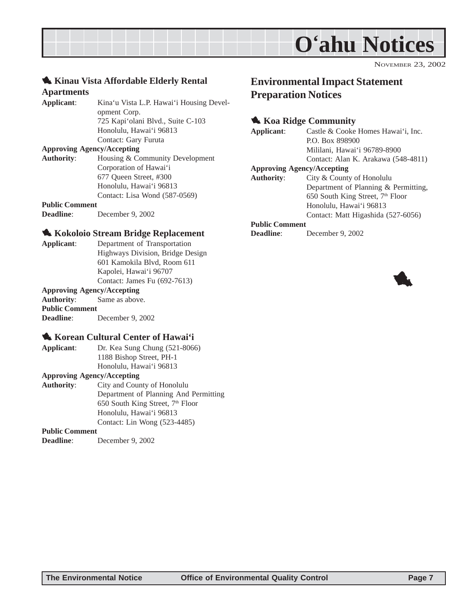

### <span id="page-6-0"></span>1 **Kinau Vista Affordable Elderly Rental Apartments**

**Applicant**: Kina'u Vista L.P. Hawai'i Housing Development Corp. 725 Kapi'olani Blvd., Suite C-103 Honolulu, Hawai'i 96813 Contact: Gary Furuta

#### **Approving Agency/Accepting**

**Authority**: Housing & Community Development Corporation of Hawai'i 677 Queen Street, #300 Honolulu, Hawai'i 96813 Contact: Lisa Wond (587-0569)

### **Public Comment**

**Deadline**: December 9, 2002

### 1 **Kokoloio Stream Bridge Replacement**

**Applicant**: Department of Transportation Highways Division, Bridge Design 601 Kamokila Blvd, Room 611 Kapolei, Hawai'i 96707 Contact: James Fu (692-7613)

#### **Approving Agency/Accepting**

**Authority**: Same as above. **Public Comment Deadline**: December 9, 2002

### **1. Korean Cultural Center of Hawai'i**

**Applicant**: Dr. Kea Sung Chung (521-8066) 1188 Bishop Street, PH-1 Honolulu, Hawai'i 96813

#### **Approving Agency/Accepting**

**Authority**: City and County of Honolulu Department of Planning And Permitting 650 South King Street,  $7<sup>th</sup>$  Floor Honolulu, Hawai'i 96813 Contact: Lin Wong (523-4485)

#### **Public Comment**

**Deadline**: December 9, 2002

### **Environmental Impact Statement Preparation Notices**

### **1. Koa Ridge Community**

- **Applicant**: Castle & Cooke Homes Hawai'i, Inc. P.O. Box 898900 Mililani, Hawai'i 96789-8900 Contact: Alan K. Arakawa (548-4811) **Approving Agency/Accepting**
- **Authority**: City & County of Honolulu Department of Planning & Permitting, 650 South King Street,  $7<sup>th</sup>$  Floor Honolulu, Hawai'i 96813 Contact: Matt Higashida (527-6056)

#### **Public Comment**

**Deadline**: December 9, 2002

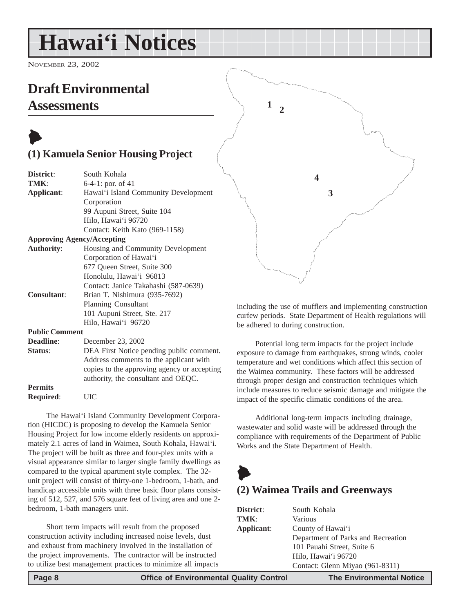## <span id="page-7-0"></span>**Hawai'i Notices**

NOVEMBER 23, 2002

### **Draft Environmental Assessments**



**Permits Required**: UIC

The Hawai'i Island Community Development Corporation (HICDC) is proposing to develop the Kamuela Senior Housing Project for low income elderly residents on approximately 2.1 acres of land in Waimea, South Kohala, Hawai'i. The project will be built as three and four-plex units with a visual appearance similar to larger single family dwellings as compared to the typical apartment style complex. The 32 unit project will consist of thirty-one 1-bedroom, 1-bath, and handicap accessible units with three basic floor plans consisting of 512, 527, and 576 square feet of living area and one 2 bedroom, 1-bath managers unit.

authority, the consultant and OEQC.

Short term impacts will result from the proposed construction activity including increased noise levels, dust and exhaust from machinery involved in the installation of the project improvements. The contractor will be instructed to utilize best management practices to minimize all impacts



including the use of mufflers and implementing construction curfew periods. State Department of Health regulations will be adhered to during construction.

Potential long term impacts for the project include exposure to damage from earthquakes, strong winds, cooler temperature and wet conditions which affect this section of the Waimea community. These factors will be addressed through proper design and construction techniques which include measures to reduce seismic damage and mitigate the impact of the specific climatic conditions of the area.

Additional long-term impacts including drainage, wastewater and solid waste will be addressed through the compliance with requirements of the Department of Public Works and the State Department of Health.



### **(2) Waimea Trails and Greenways**

| District:  | South Kohala                       |
|------------|------------------------------------|
| TMK:       | Various                            |
| Applicant: | County of Hawai'i                  |
|            | Department of Parks and Recreation |
|            | 101 Pauahi Street, Suite 6         |
|            | Hilo, Hawai'i 96720                |
|            | Contact: Glenn Miyao (961-8311)    |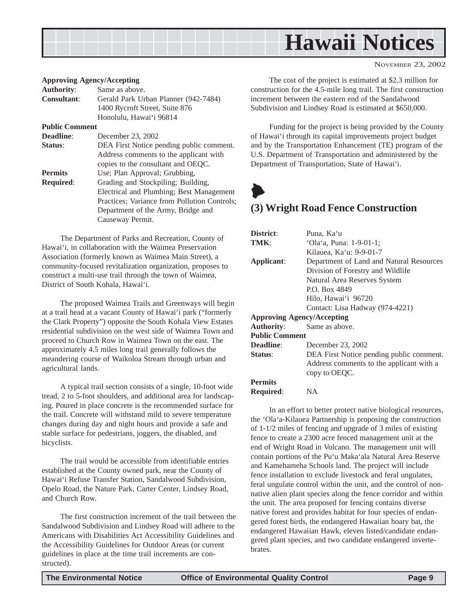<span id="page-8-0"></span>

#### **Approving Agency/Accepting**

| <b>Authority:</b>     | Same as above.                               |  |  |
|-----------------------|----------------------------------------------|--|--|
| <b>Consultant:</b>    | Gerald Park Urban Planner (942-7484)         |  |  |
|                       | 1400 Rycroft Street, Suite 876               |  |  |
|                       | Honolulu, Hawai'i 96814                      |  |  |
| <b>Public Comment</b> |                                              |  |  |
| Deadline:             | December 23, 2002                            |  |  |
| Status:               | DEA First Notice pending public comment.     |  |  |
|                       | Address comments to the applicant with       |  |  |
|                       | copies to the consultant and OEQC.           |  |  |
| <b>Permits</b>        | Use; Plan Approval; Grubbing,                |  |  |
| <b>Required:</b>      | Grading and Stockpiling; Building,           |  |  |
|                       | Electrical and Plumbing; Best Management     |  |  |
|                       | Practices; Variance from Pollution Controls; |  |  |
|                       | Department of the Army, Bridge and           |  |  |
|                       | Causeway Permit.                             |  |  |
|                       |                                              |  |  |

The Department of Parks and Recreation, County of Hawai'i, in collaboration with the Waimea Preservation Association (formerly known as Waimea Main Street), a community-focused revitalization organization, proposes to construct a multi-use trail through the town of Waimea, District of South Kohala, Hawai'i.

The proposed Waimea Trails and Greenways will begin at a trail head at a vacant County of Hawai'i park ("formerly the Clark Property") opposite the South Kohala View Estates residential subdivision on the west side of Waimea Town and proceed to Church Row in Waimea Town on the east. The approximately 4.5 miles long trail generally follows the meandering course of Waikoloa Stream through urban and agricultural lands.

A typical trail section consists of a single, 10-foot wide tread, 2 to 5-foot shoulders, and additional area for landscaping. Poured in place concrete is the recommended surface for the trail. Concrete will withstand mild to severe temperature changes during day and night hours and provide a safe and stable surface for pedestrians, joggers, the disabled, and bicyclists.

The trail would be accessible from identifiable entries established at the County owned park, near the County of Hawai'i Refuse Transfer Station, Sandalwood Subdivision, Opelo Road, the Nature Park, Carter Center, Lindsey Road, and Church Row.

The first construction increment of the trail between the Sandalwood Subdivision and Lindsey Road will adhere to the Americans with Disabilities Act Accessibility Guidelines and the Accessibility Guidelines for Outdoor Areas (or current guidelines in place at the time trail increments are constructed).

The cost of the project is estimated at \$2.3 million for construction for the 4.5-mile long trail. The first construction increment between the eastern end of the Sandalwood Subdivision and Lindsey Road is estimated at \$650,000.

Funding for the project is being provided by the County of Hawai'i through its capital improvements project budget and by the Transportation Enhancement (TE) program of the U.S. Department of Transportation and administered by the Department of Transportation, State of Hawai'i.

### $\blacklozenge$ **(3) Wright Road Fence Construction**

| District:                         | Puna, Ka'u                               |  |  |
|-----------------------------------|------------------------------------------|--|--|
| TMK:                              | 'Ola'a, Puna: 1-9-01-1;                  |  |  |
|                                   | Kilauea, Ka'u: 9-9-01-7                  |  |  |
| Applicant:                        | Department of Land and Natural Resources |  |  |
|                                   | Division of Forestry and Wildlife        |  |  |
|                                   | Natural Area Reserves System             |  |  |
|                                   | P.O. Box 4849                            |  |  |
|                                   | Hilo, Hawai'i 96720                      |  |  |
|                                   | Contact: Lisa Hadway (974-4221)          |  |  |
| <b>Approving Agency/Accepting</b> |                                          |  |  |
| <b>Authority:</b>                 | Same as above.                           |  |  |
| <b>Public Comment</b>             |                                          |  |  |
| Deadline:                         | December 23, 2002                        |  |  |
| Status:                           | DEA First Notice pending public comment. |  |  |
|                                   | Address comments to the applicant with a |  |  |
|                                   | copy to OEQC.                            |  |  |
| <b>Permits</b>                    |                                          |  |  |
| <b>Required:</b>                  | NA                                       |  |  |

In an effort to better protect native biological resources, the 'Ola'a-Kilauea Partnership is proposing the construction of 1-1/2 miles of fencing and upgrade of 3 miles of existing fence to create a 2300 acre fenced management unit at the end of Wright Road in Volcano. The management unit will contain portions of the Pu'u Maka'ala Natural Area Reserve and Kamehameha Schools land. The project will include fence installation to exclude livestock and feral ungulates, feral ungulate control within the unit, and the control of nonnative alien plant species along the fence corridor and within the unit. The area proposed for fencing contains diverse native forest and provides habitat for four species of endangered forest birds, the endangered Hawaiian hoary bat, the endangered Hawaiian Hawk, eleven listed/candidate endangered plant species, and two candidate endangered invertebrates.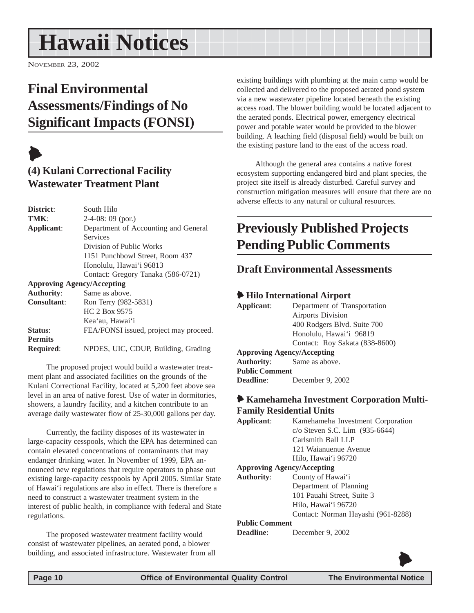## <span id="page-9-0"></span>**Hawaii Notices**

NOVEMBER 23, 2002

### **Final Environmental Assessments/Findings of No Significant Impacts (FONSI)**



### **(4) Kulani Correctional Facility Wastewater Treatment Plant**

| District:          | South Hilo                             |
|--------------------|----------------------------------------|
| TMK:               | $2-4-08:09$ (por.)                     |
| Applicant:         | Department of Accounting and General   |
|                    | Services                               |
|                    | Division of Public Works               |
|                    | 1151 Punchbowl Street, Room 437        |
|                    | Honolulu, Hawai'i 96813                |
|                    | Contact: Gregory Tanaka (586-0721)     |
|                    | <b>Approving Agency/Accepting</b>      |
| <b>Authority:</b>  | Same as above.                         |
| <b>Consultant:</b> | Ron Terry (982-5831)                   |
|                    | HC 2 Box 9575                          |
|                    | Kea'au, Hawai'i                        |
| <b>Status:</b>     | FEA/FONSI issued, project may proceed. |
| <b>Permits</b>     |                                        |
| <b>Required:</b>   | NPDES, UIC, CDUP, Building, Grading    |

The proposed project would build a wastewater treatment plant and associated facilities on the grounds of the Kulani Correctional Facility, located at 5,200 feet above sea level in an area of native forest. Use of water in dormitories, showers, a laundry facility, and a kitchen contribute to an average daily wastewater flow of 25-30,000 gallons per day.

Currently, the facility disposes of its wastewater in large-capacity cesspools, which the EPA has determined can contain elevated concentrations of contaminants that may endanger drinking water. In November of 1999, EPA announced new regulations that require operators to phase out existing large-capacity cesspools by April 2005. Similar State of Hawai'i regulations are also in effect. There is therefore a need to construct a wastewater treatment system in the interest of public health, in compliance with federal and State regulations.

The proposed wastewater treatment facility would consist of wastewater pipelines, an aerated pond, a blower building, and associated infrastructure. Wastewater from all existing buildings with plumbing at the main camp would be collected and delivered to the proposed aerated pond system via a new wastewater pipeline located beneath the existing access road. The blower building would be located adjacent to the aerated ponds. Electrical power, emergency electrical power and potable water would be provided to the blower building. A leaching field (disposal field) would be built on the existing pasture land to the east of the access road.

Although the general area contains a native forest ecosystem supporting endangered bird and plant species, the project site itself is already disturbed. Careful survey and construction mitigation measures will ensure that there are no adverse effects to any natural or cultural resources.

### **Previously Published Projects Pending Public Comments**

### **Draft Environmental Assessments**

### 6 **Hilo International Airport**

| Applicant:                        | Department of Transportation     |
|-----------------------------------|----------------------------------|
|                                   | <b>Airports Division</b>         |
|                                   | 400 Rodgers Blvd. Suite 700      |
|                                   | Honolulu, Hawai'i 96819          |
|                                   | Contact: Roy Sakata (838-8600)   |
| <b>Approving Agency/Accepting</b> |                                  |
|                                   | <b>Authority:</b> Same as above. |
| <b>Public Comment</b>             |                                  |
| <b>Deadline:</b>                  | December 9, 2002                 |
|                                   |                                  |

### 6 **Kamehameha Investment Corporation Multi-Family Residential Units**

| Applicant:            | Kamehameha Investment Corporation   |  |  |
|-----------------------|-------------------------------------|--|--|
|                       | $c$ /o Steven S.C. Lim $(935-6644)$ |  |  |
|                       | Carlsmith Ball LLP                  |  |  |
|                       | 121 Waianuenue Avenue               |  |  |
|                       | Hilo, Hawai'i 96720                 |  |  |
|                       | <b>Approving Agency/Accepting</b>   |  |  |
| <b>Authority:</b>     | County of Hawai'i                   |  |  |
|                       | Department of Planning              |  |  |
|                       | 101 Pauahi Street, Suite 3          |  |  |
|                       | Hilo, Hawai'i 96720                 |  |  |
|                       | Contact: Norman Hayashi (961-8288)  |  |  |
| <b>Public Comment</b> |                                     |  |  |

**Deadline**: December 9, 2002



 $\blacklozenge$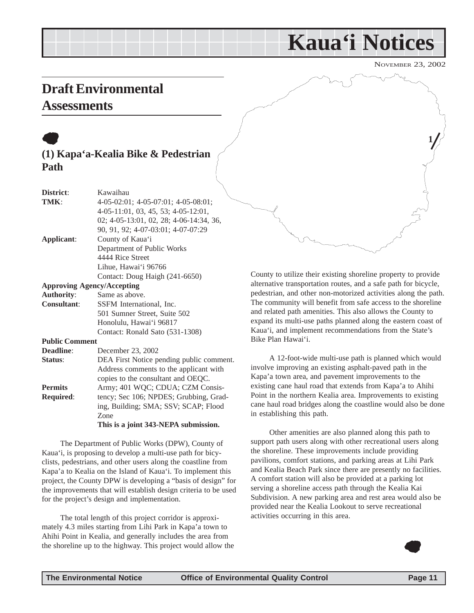## **Kaua'i Notices**

NOVEMBER 23, 2002

**1**

### <span id="page-10-0"></span>**Draft Environmental Assessments**

### $\bullet$ **(1) Kapa'a-Kealia Bike & Pedestrian Path**

| District:                         | Kawaihau                                     |
|-----------------------------------|----------------------------------------------|
| TMK:                              | $4-05-02:01$ ; $4-05-07:01$ ; $4-05-08:01$ ; |
|                                   | $4-05-11:01$ , 03, 45, 53; 4-05-12:01,       |
|                                   | 02; 4-05-13:01, 02, 28; 4-06-14:34, 36,      |
|                                   | 90, 91, 92; 4-07-03:01; 4-07-07:29           |
| Applicant:                        | County of Kaua'i                             |
|                                   | Department of Public Works                   |
|                                   | 4444 Rice Street                             |
|                                   | Lihue, Hawai'i 96766                         |
|                                   | Contact: Doug Haigh (241-6650)               |
| <b>Approving Agency/Accepting</b> |                                              |

#### **Authority**: Same as above. **Consultant**: SSFM International, Inc. 501 Sumner Street, Suite 502 Honolulu, Hawai'i 96817 Contact: Ronald Sato (531-1308) **Public Comment Deadline**: December 23, 2002 **Status:** DEA First Notice pending public comment. Address comments to the applicant with copies to the consultant and OEQC. **Permits** Army; 401 WQC; CDUA; CZM Consis-**Required:** tency; Sec 106; NPDES; Grubbing, Grading, Building; SMA; SSV; SCAP; Flood Zone

**This is a joint 343-NEPA submission.**

The Department of Public Works (DPW), County of Kaua'i, is proposing to develop a multi-use path for bicyclists, pedestrians, and other users along the coastline from Kapa'a to Kealia on the Island of Kaua'i. To implement this project, the County DPW is developing a "basis of design" for the improvements that will establish design criteria to be used for the project's design and implementation.

The total length of this project corridor is approximately 4.3 miles starting from Lihi Park in Kapa'a town to Ahihi Point in Kealia, and generally includes the area from the shoreline up to the highway. This project would allow the County to utilize their existing shoreline property to provide alternative transportation routes, and a safe path for bicycle, pedestrian, and other non-motorized activities along the path. The community will benefit from safe access to the shoreline and related path amenities. This also allows the County to expand its multi-use paths planned along the eastern coast of Kaua'i, and implement recommendations from the State's Bike Plan Hawai'i.

A 12-foot-wide multi-use path is planned which would involve improving an existing asphalt-paved path in the Kapa'a town area, and pavement improvements to the existing cane haul road that extends from Kapa'a to Ahihi Point in the northern Kealia area. Improvements to existing cane haul road bridges along the coastline would also be done in establishing this path.

Other amenities are also planned along this path to support path users along with other recreational users along the shoreline. These improvements include providing pavilions, comfort stations, and parking areas at Lihi Park and Kealia Beach Park since there are presently no facilities. A comfort station will also be provided at a parking lot serving a shoreline access path through the Kealia Kai Subdivision. A new parking area and rest area would also be provided near the Kealia Lookout to serve recreational activities occurring in this area.

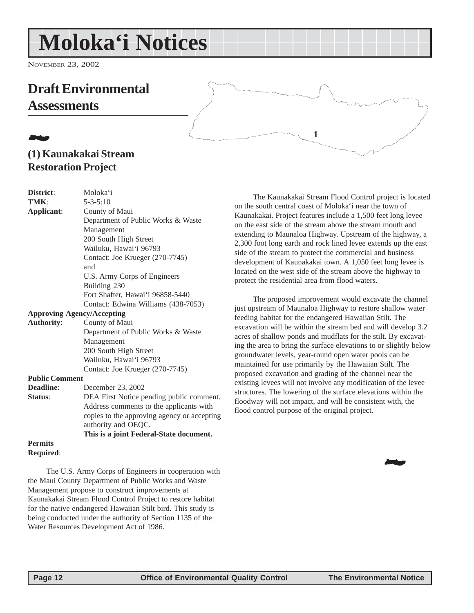## <span id="page-11-0"></span>**Moloka'i Notices**

NOVEMBER 23, 2002

### **Draft Environmental Assessments**

### 21**. (1) Kaunakakai Stream Restoration Project**

| District:                         | Moloka'i                                    |
|-----------------------------------|---------------------------------------------|
| TMK:                              | $5 - 3 - 5:10$                              |
| Applicant:                        | County of Maui                              |
|                                   | Department of Public Works & Waste          |
|                                   | Management                                  |
|                                   | 200 South High Street                       |
|                                   | Wailuku, Hawai'i 96793                      |
|                                   | Contact: Joe Krueger (270-7745)             |
|                                   | and                                         |
|                                   | U.S. Army Corps of Engineers                |
|                                   | Building 230                                |
|                                   | Fort Shafter, Hawai'i 96858-5440            |
|                                   | Contact: Edwina Williams (438-7053)         |
| <b>Approving Agency/Accepting</b> |                                             |
| <b>Authority:</b>                 | County of Maui                              |
|                                   | Department of Public Works & Waste          |
|                                   | Management                                  |
|                                   | 200 South High Street                       |
|                                   | Wailuku, Hawai'i 96793                      |
|                                   | Contact: Joe Krueger (270-7745)             |
| <b>Public Comment</b>             |                                             |
| Deadline:                         | December 23, 2002                           |
| Status:                           | DEA First Notice pending public comment.    |
|                                   | Address comments to the applicants with     |
|                                   | copies to the approving agency or accepting |
|                                   | authority and OEQC.                         |
|                                   | This is a joint Federal-State document.     |
| <b>Permits</b>                    |                                             |
| Required:                         |                                             |

The U.S. Army Corps of Engineers in cooperation with the Maui County Department of Public Works and Waste Management propose to construct improvements at Kaunakakai Stream Flood Control Project to restore habitat for the native endangered Hawaiian Stilt bird. This study is being conducted under the authority of Section 1135 of the Water Resources Development Act of 1986.

The Kaunakakai Stream Flood Control project is located on the south central coast of Moloka'i near the town of Kaunakakai. Project features include a 1,500 feet long levee on the east side of the stream above the stream mouth and extending to Maunaloa Highway. Upstream of the highway, a 2,300 foot long earth and rock lined levee extends up the east side of the stream to protect the commercial and business development of Kaunakakai town. A 1,050 feet long levee is located on the west side of the stream above the highway to protect the residential area from flood waters.

**1**

The proposed improvement would excavate the channel just upstream of Maunaloa Highway to restore shallow water feeding habitat for the endangered Hawaiian Stilt. The excavation will be within the stream bed and will develop 3.2 acres of shallow ponds and mudflats for the stilt. By excavating the area to bring the surface elevations to or slightly below groundwater levels, year-round open water pools can be maintained for use primarily by the Hawaiian Stilt. The proposed excavation and grading of the channel near the existing levees will not involve any modification of the levee structures. The lowering of the surface elevations within the floodway will not impact, and will be consistent with, the flood control purpose of the original project.

22 J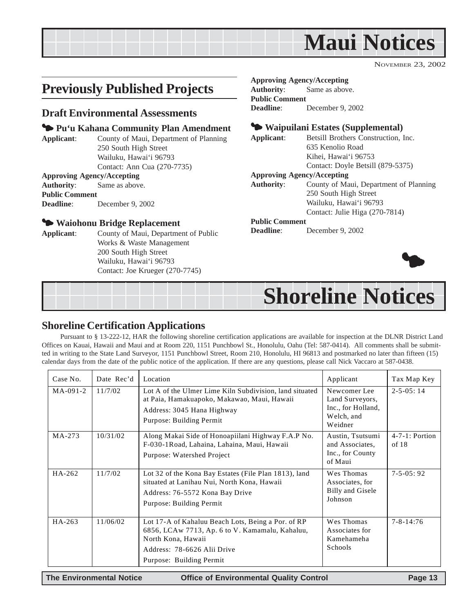<span id="page-12-0"></span>

### **Previously Published Projects**

### **Draft Environmental Assessments**

### 3 **Pu'u Kahana Community Plan Amendment**

**Applicant**: County of Maui, Department of Planning 250 South High Street Wailuku, Hawai'i 96793 Contact: Ann Cua (270-7735)

#### **Approving Agency/Accepting**

**Authority**: Same as above.

#### **Public Comment Deadline**: December 9, 2002

### 3 **Waiohonu Bridge Replacement**

**Applicant**: County of Maui, Department of Public Works & Waste Management 200 South High Street Wailuku, Hawai'i 96793 Contact: Joe Krueger (270-7745)

### **Approving Agency/Accepting**

**Authority**: Same as above. **Public Comment Deadline**: December 9, 2002

### 3 **Waipuilani Estates (Supplemental)**

**Applicant**: Betsill Brothers Construction, Inc. 635 Kenolio Road Kihei, Hawai'i 96753 Contact: Doyle Betsill (879-5375)

### **Approving Agency/Accepting**

**Authority**: County of Maui, Department of Planning 250 South High Street Wailuku, Hawai'i 96793 Contact: Julie Higa (270-7814)

### **Public Comment**

**Deadline**: December 9, 2002



## **Shoreline Notices**

### **Shoreline Certification Applications**

Pursuant to § 13-222-12, HAR the following shoreline certification applications are available for inspection at the DLNR District Land Offices on Kauai, Hawaii and Maui and at Room 220, 1151 Punchbowl St., Honolulu, Oahu (Tel: 587-0414). All comments shall be submitted in writing to the State Land Surveyor, 1151 Punchbowl Street, Room 210, Honolulu, HI 96813 and postmarked no later than fifteen (15) calendar days from the date of the public notice of the application. If there are any questions, please call Nick Vaccaro at 587-0438.

| Case No.   | Date Rec'd | Location                                                                                                                                                                               | Applicant                                                                      | Tax Map Key                  |
|------------|------------|----------------------------------------------------------------------------------------------------------------------------------------------------------------------------------------|--------------------------------------------------------------------------------|------------------------------|
| $MA-091-2$ | 11/7/02    | Lot A of the Ulmer Lime Kiln Subdivision, land situated<br>at Paia, Hamakuapoko, Makawao, Maui, Hawaii<br>Address: 3045 Hana Highway<br>Purpose: Building Permit                       | Newcomer Lee<br>Land Surveyors,<br>Inc., for Holland,<br>Welch, and<br>Weidner | $2 - 5 - 0.5$ : 14           |
| MA-273     | 10/31/02   | Along Makai Side of Honoapiilani Highway F.A.P No.<br>F-030-1Road, Lahaina, Lahaina, Maui, Hawaii<br>Purpose: Watershed Project                                                        | Austin, Tsutsumi<br>and Associates.<br>Inc., for County<br>of Maui             | $4-7-1$ : Portion<br>of $18$ |
| HA-262     | 11/7/02    | Lot 32 of the Kona Bay Estates (File Plan 1813), land<br>situated at Lanihau Nui, North Kona, Hawaii<br>Address: 76-5572 Kona Bay Drive<br>Purpose: Building Permit                    | Wes Thomas<br>Associates, for<br>Billy and Gisele<br>Johnson                   | $7 - 5 - 0.5 : 92$           |
| HA-263     | 11/06/02   | Lot 17-A of Kahaluu Beach Lots, Being a Por. of RP<br>6856, LCAw 7713, Ap. 6 to V. Kamamalu, Kahaluu,<br>North Kona, Hawaii<br>Address: 78-6626 Alii Drive<br>Purpose: Building Permit | Wes Thomas<br>Associates for<br>Kamehameha<br>Schools                          | $7 - 8 - 14:76$              |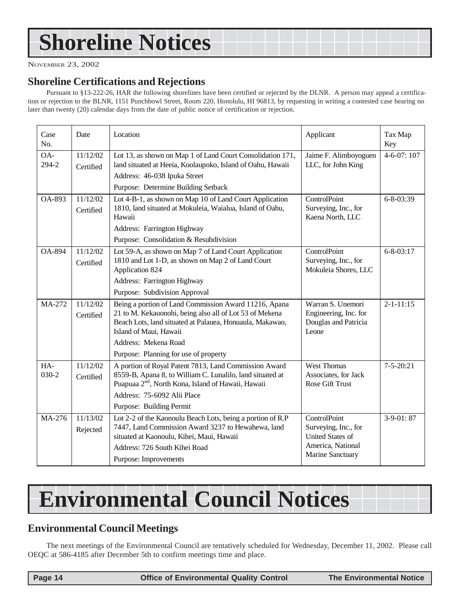## <span id="page-13-0"></span>**Shoreline Notices**

NOVEMBER 23, 2002

### **Shoreline Certifications and Rejections**

Pursuant to §13-222-26, HAR the following shorelines have been certified or rejected by the DLNR. A person may appeal a certification or rejection to the BLNR, 1151 Punchbowl Street, Room 220, Honolulu, HI 96813, by requesting in writing a contested case hearing no later than twenty (20) calendar days from the date of public notice of certification or rejection.

| Case<br>No.    | Date                  | Location                                                                                                                                                                                               | Applicant                                                                            | Tax Map<br>Key   |
|----------------|-----------------------|--------------------------------------------------------------------------------------------------------------------------------------------------------------------------------------------------------|--------------------------------------------------------------------------------------|------------------|
| OA-<br>294-2   | 11/12/02<br>Certified | Lot 13, as shown on Map 1 of Land Court Consolidation 171,<br>land situated at Heeia, Koolaupoko, Island of Oahu, Hawaii<br>Address: 46-038 Ipuka Street                                               | Jaime F. Alimboyoguen<br>LLC, for John King                                          | $4 - 6 - 07:107$ |
|                |                       | Purpose: Determine Building Setback                                                                                                                                                                    |                                                                                      |                  |
| OA-893         | 11/12/02<br>Certified | Lot 4-B-1, as shown on Map 10 of Land Court Application<br>1810, land situated at Mokuleia, Waialua, Island of Oahu,<br>Hawaii                                                                         | ControlPoint<br>Surveying, Inc., for<br>Kaena North, LLC                             | $6 - 8 - 03:39$  |
|                |                       | Address: Farrington Highway                                                                                                                                                                            |                                                                                      |                  |
|                |                       | Purpose: Consolidation & Resubdivision                                                                                                                                                                 |                                                                                      |                  |
| OA-894         | 11/12/02<br>Certified | Lot 59-A, as shown on Map 7 of Land Court Application<br>1810 and Lot 1-D, as shown on Map 2 of Land Court<br>Application 824                                                                          | ControlPoint<br>Surveying, Inc., for<br>Mokuleia Shores, LLC                         | $6 - 8 - 03:17$  |
|                |                       | Address: Farrington Highway                                                                                                                                                                            |                                                                                      |                  |
|                |                       | Purpose: Subdivision Approval                                                                                                                                                                          |                                                                                      |                  |
| MA-272         | 11/12/02<br>Certified | Being a portion of Land Commission Award 11216, Apana<br>21 to M. Kekauonohi, being also all of Lot 53 of Mekena<br>Beach Lots, land situated at Palauea, Honuaula, Makawao,<br>Island of Maui, Hawaii | Warran S. Unemori<br>Engineering, Inc. for<br>Douglas and Patricia<br>Leone          | $2 - 1 - 11:15$  |
|                |                       | Address: Mekena Road                                                                                                                                                                                   |                                                                                      |                  |
|                |                       | Purpose: Planning for use of property                                                                                                                                                                  |                                                                                      |                  |
| HA-<br>$030-2$ | 11/12/02<br>Certified | A portion of Royal Patent 7813, Land Commission Award<br>8559-B, Apana 8, to William C. Lunalilo, land situated at<br>Puapuaa 2 <sup>nd</sup> , North Kona, Island of Hawaii, Hawaii                   | <b>West Thomas</b><br>Associates, for Jack<br>Rose Gift Trust                        | $7 - 5 - 20:21$  |
|                |                       | Address: 75-6092 Alii Place                                                                                                                                                                            |                                                                                      |                  |
|                |                       | Purpose: Building Permit                                                                                                                                                                               |                                                                                      |                  |
| MA-276         | 11/13/02<br>Rejected  | Lot 2-2 of the Kaonoulu Beach Lots, being a portion of R.P<br>7447, Land Commission Award 3237 to Hewahewa, land<br>situated at Kaonoulu, Kihei, Maui, Hawaii                                          | ControlPoint<br>Surveying, Inc., for<br><b>United States of</b><br>America, National | $3-9-01:87$      |
|                |                       | Address: 726 South Kihei Road<br>Purpose: Improvements                                                                                                                                                 | Marine Sanctuary                                                                     |                  |

## **Environmental Council Notices**

### **Environmental Council Meetings**

The next meetings of the Environmental Council are tentatively scheduled for Wednesday, December 11, 2002. Please call OEQC at 586-4185 after December 5th to confirm meetings time and place.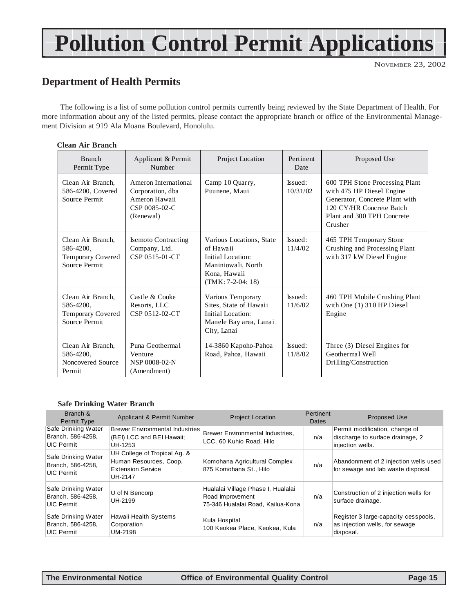## **Pollution Control Permit Applications**

NOVEMBER 23, 2002

### **Department of Health Permits**

The following is a list of some pollution control permits currently being reviewed by the State Department of Health. For more information about any of the listed permits, please contact the appropriate branch or office of the Environmental Management Division at 919 Ala Moana Boulevard, Honolulu.

#### **Clean Air Branch**

| <b>Branch</b><br>Permit Type                                                | Applicant & Permit<br>Number                                                            | Project Location                                                                                                        | Pertinent<br>Date   | Proposed Use                                                                                                                                                       |
|-----------------------------------------------------------------------------|-----------------------------------------------------------------------------------------|-------------------------------------------------------------------------------------------------------------------------|---------------------|--------------------------------------------------------------------------------------------------------------------------------------------------------------------|
| Clean Air Branch.<br>586-4200, Covered<br>Source Permit                     | Ameron International<br>Corporation, dba<br>Ameron Hawaii<br>CSP 0085-02-C<br>(Renewal) | Camp 10 Quarry,<br>Puunene, Maui                                                                                        | Issued:<br>10/31/02 | 600 TPH Stone Processing Plant<br>with 475 HP Diesel Engine<br>Generator, Concrete Plant with<br>120 CY/HR Concrete Batch<br>Plant and 300 TPH Concrete<br>Crusher |
| Clean Air Branch,<br>586-4200,<br><b>Temporary Covered</b><br>Source Permit | <b>Isemoto Contracting</b><br>Company, Ltd.<br>CSP 0515-01-CT                           | Various Locations, State<br>of Hawaii<br>Initial Location:<br>Maniniowali, North<br>Kona, Hawaii<br>$(TMK: 7-2-04: 18)$ | Issued:<br>11/4/02  | 465 TPH Temporary Stone<br>Crushing and Processing Plant<br>with 317 kW Diesel Engine                                                                              |
| Clean Air Branch,<br>586-4200,<br><b>Temporary Covered</b><br>Source Permit | Castle & Cooke<br>Resorts, LLC<br>CSP 0512-02-CT                                        | Various Temporary<br>Sites, State of Hawaii<br>Initial Location:<br>Manele Bay area, Lanai<br>City, Lanai               | Issued:<br>11/6/02  | 460 TPH Mobile Crushing Plant<br>with One $(1)$ 310 HP Diesel<br>Engine                                                                                            |
| Clean Air Branch.<br>586-4200,<br>Noncovered Source<br>Permit               | Puna Geothermal<br>Venture<br>NSP 0008-02-N<br>(Amendment)                              | 14-3860 Kapoho-Pahoa<br>Road, Pahoa, Hawaii                                                                             | Issued:<br>11/8/02  | Three (3) Diesel Engines for<br>Geothermal Well<br>Drilling/Construction                                                                                           |

#### **Safe Drinking Water Branch**

| Branch &<br>Permit Type                                       | Applicant & Permit Number                                                                     | <b>Project Location</b>                                                                     | Pertinent<br><b>Dates</b> | <b>Proposed Use</b>                                                                    |
|---------------------------------------------------------------|-----------------------------------------------------------------------------------------------|---------------------------------------------------------------------------------------------|---------------------------|----------------------------------------------------------------------------------------|
| Safe Drinking Water<br>Branch, 586-4258,<br><b>UIC Permit</b> | <b>Brewer Environmental Industries</b><br>(BEI) LCC and BEI Hawaii;<br>UH-1253                | Brewer Environmental Industries,<br>LCC, 60 Kuhio Road, Hilo                                | n/a                       | Permit modification, change of<br>discharge to surface drainage, 2<br>injection wells. |
| Safe Drinking Water<br>Branch, 586-4258,<br>UIC Permit        | UH College of Tropical Ag. &<br>Human Resources, Coop.<br><b>Extension Service</b><br>UH-2147 | Komohana Agricultural Complex<br>875 Komohana St., Hilo                                     | n/a                       | Abandonment of 2 injection wells used<br>for sewage and lab waste disposal.            |
| Safe Drinking Water<br>Branch, 586-4258,<br><b>UIC Permit</b> | U of N Bencorp<br>UH-2199                                                                     | Hualalai Village Phase I, Hualalai<br>Road Improvement<br>75-346 Hualalai Road, Kailua-Kona | n/a                       | Construction of 2 injection wells for<br>surface drainage.                             |
| Safe Drinking Water<br>Branch, 586-4258,<br>UIC Permit        | Hawaii Health Systems<br>Corporation<br>UM-2198                                               | Kula Hospital<br>100 Keokea Place, Keokea, Kula                                             | n/a                       | Register 3 large-capacity cesspools,<br>as injection wells, for sewage<br>disposal.    |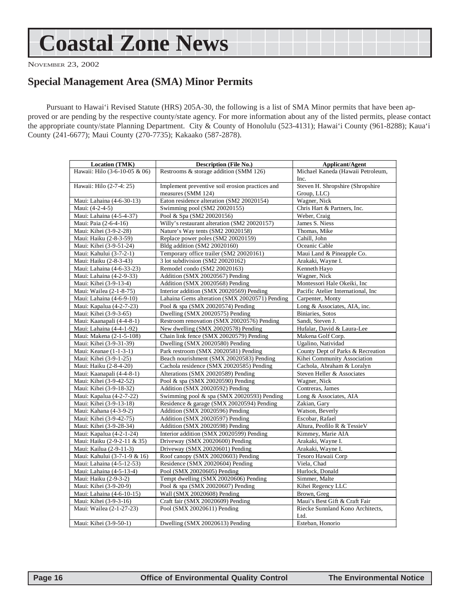## <span id="page-15-0"></span>**Coastal Zone News**

NOVEMBER 23, 2002

### **Special Management Area (SMA) Minor Permits**

Pursuant to Hawai'i Revised Statute (HRS) 205A-30, the following is a list of SMA Minor permits that have been approved or are pending by the respective county/state agency. For more information about any of the listed permits, please contact the appropriate county/state Planning Department. City & County of Honolulu (523-4131); Hawai'i County (961-8288); Kaua'i County (241-6677); Maui County (270-7735); Kakaako (587-2878).

| Location (TMK)                | <b>Description (File No.)</b>                   | <b>Applicant/Agent</b>                   |  |
|-------------------------------|-------------------------------------------------|------------------------------------------|--|
| Hawaii: Hilo (3-6-10-05 & 06) | Restrooms & storage addition (SMM 126)          | Michael Kaneda (Hawaii Petroleum,        |  |
|                               |                                                 | Inc.                                     |  |
| Hawaii: Hilo (2-7-4: 25)      | Implement preventive soil erosion practices and | Steven H. Shropshire (Shropshire         |  |
|                               | measures (SMM 124)                              | Group, LLC)                              |  |
| Maui: Lahaina (4-6-30-13)     | Eaton residence alteration (SM2 20020154)       | Wagner, Nick                             |  |
| Maui: (4-2-4-5)               | Swimming pool (SM2 20020155)                    | Chris Hart & Partners, Inc.              |  |
| Maui: Lahaina (4-5-4-37)      | Pool & Spa (SM2 20020156)                       | Weber, Craig                             |  |
| Maui: Paia (2-6-4-16)         | Willy's restaurant alteration (SM2 20020157)    | James S. Niess                           |  |
| Maui: Kihei (3-9-2-28)        | Nature's Way tents (SM2 20020158)               | Thomas, Mike                             |  |
| Maui: Haiku (2-8-3-59)        | Replace power poles (SM2 20020159)              | Cahill, John                             |  |
| Maui: Kihei (3-9-51-24)       | Bldg addition (SM2 20020160)                    | Oceanic Cable                            |  |
| Maui: Kahului (3-7-2-1)       | Temporary office trailer (SM2 20020161)         | Maui Land & Pineapple Co.                |  |
| Maui: Haiku (2-8-3-43)        | 3 lot subdivision (SM2 20020162)                | Arakaki, Wayne I.                        |  |
| Maui: Lahaina (4-6-33-23)     | Remodel condo (SM2 20020163)                    | Kenneth Hayo                             |  |
| Maui: Lahaina (4-2-9-33)      | Addition (SMX 20020567) Pending                 | Wagner, Nick                             |  |
| Maui: Kihei (3-9-13-4)        | Addition (SMX 20020568) Pending                 | Montessori Hale Okeiki, Inc              |  |
| Maui: Wailea (2-1-8-75)       | Interior addition (SMX 20020569) Pending        | Pacific Atelier International, Inc       |  |
| Maui: Lahaina (4-6-9-10)      | Lahaina Gems alteration (SMX 20020571) Pending  | Carpenter, Monty                         |  |
| Maui: Kapalua (4-2-7-23)      | Pool & spa (SMX 20020574) Pending               | Long & Associates, AIA, inc.             |  |
| Maui: Kihei (3-9-3-65)        | Dwelling (SMX 20020575) Pending                 | Biniaries, Sotos                         |  |
| Maui: Kaanapali (4-4-8-1)     | Restroom renovation (SMX 20020576) Pending      | Sandi, Steven J.                         |  |
| Maui: Lahaina (4-4-1-92)      | New dwelling (SMX 20020578) Pending             | Hufalar, David & Laura-Lee               |  |
| Maui: Makena (2-1-5-108)      | Chain link fence (SMX 20020579) Pending         | Makena Golf Corp.                        |  |
| Maui: Kihei (3-9-31-39)       | Dwelling (SMX 20020580) Pending                 | Ugalino, Natividad                       |  |
| Maui: Keanae (1-1-3-1)        | Park restroom (SMX 20020581) Pending            | County Dept of Parks & Recreation        |  |
| Maui: Kihei (3-9-1-25)        | Beach nourishment (SMX 20020583) Pending        | Kihei Community Association              |  |
| Maui: Haiku (2-8-4-20)        | Cachola residence (SMX 20020585) Pending        | Cachola, Abraham & Loralyn               |  |
| Maui: Kaanapali (4-4-8-1)     | Alterations (SMX 20020589) Pending              | Steven Heller & Associates               |  |
| Maui: Kihei (3-9-42-52)       | Pool & spa (SMX 20020590) Pending               | Wagner, Nick                             |  |
| Maui: Kihei (3-9-18-32)       | Addition (SMX 20020592) Pending                 | Contreras, James                         |  |
| Maui: Kapalua (4-2-7-22)      | Swimming pool & spa (SMX 20020593) Pending      | Long & Associates, AIA                   |  |
| Maui: Kihei (3-9-13-18)       | Residence & garage (SMX 20020594) Pending       | Zakian, Gary                             |  |
| Maui: Kahana (4-3-9-2)        | Addition (SMX 20020596) Pending                 | Watson, Beverly                          |  |
| Maui: Kihei (3-9-42-75)       | Addition (SMX 20020597) Pending                 | Escobar, Rafael                          |  |
| Maui: Kihei (3-9-28-34)       | Addition (SMX 20020598) Pending                 | Altura, Peofilo R & TessieV              |  |
| Maui: Kapalua (4-2-1-24)      | Interior addition (SMX 20020599) Pending        | Kimmey, Marie AIA                        |  |
| Maui: Haiku (2-9-2-11 & 35)   | Driveway (SMX 20020600) Pending                 | Arakaki, Wayne I.                        |  |
| Maui: Kailua (2-9-11-3)       | Driveway (SMX 20020601) Pending                 | Arakaki, Wayne I.                        |  |
| Maui: Kahului (3-7-1-9 & 16)  | Roof canopy (SMX 20020603) Pending              | Tesoro Hawaii Corp                       |  |
| Maui: Lahaina (4-5-12-53)     | Residence (SMX 20020604) Pending                | Viela, Chad                              |  |
| Maui: Lahaina (4-5-13-4)      | Pool (SMX 20020605) Pending                     | Hurlock, Donald                          |  |
| Maui: Haiku (2-9-3-2)         | Tempt dwelling (SMX 20020606) Pending           | Simmer, Malte                            |  |
| Maui: Kihei (3-9-20-9)        | Pool & spa (SMX 20020607) Pending               | Kihei Regency LLC                        |  |
| Maui: Lahaina (4-6-10-15)     | Wall (SMX 20020608) Pending                     | Brown, Greg                              |  |
| Maui: Kihei (3-9-3-16)        | Craft fair (SMX 20020609) Pending               | Maui's Best Gift & Craft Fair            |  |
| Maui: Wailea (2-1-27-23)      | Pool (SMX 20020611) Pending                     | Riecke Sunnland Kono Architects,<br>Ltd. |  |
| Maui: Kihei (3-9-50-1)        | Dwelling (SMX 20020613) Pending                 | Esteban. Honorio                         |  |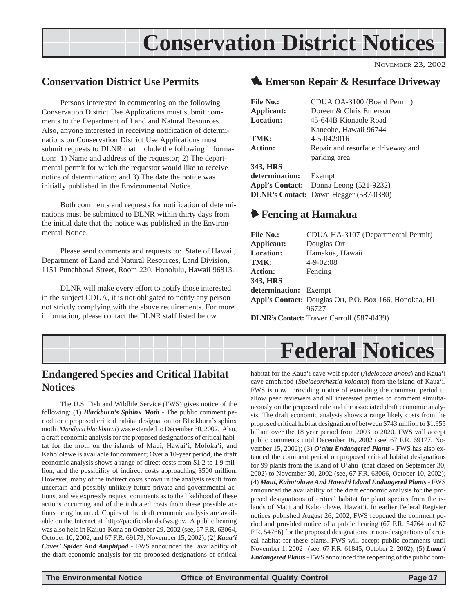## **Conservation District Notices**

### <span id="page-16-0"></span>**Conservation District Use Permits**

Persons interested in commenting on the following Conservation District Use Applications must submit comments to the Department of Land and Natural Resources. Also, anyone interested in receiving notification of determinations on Conservation District Use Applications must submit requests to DLNR that include the following information: 1) Name and address of the requestor; 2) The departmental permit for which the requestor would like to receive notice of determination; and 3) The date the notice was initially published in the Environmental Notice.

Both comments and requests for notification of determinations must be submitted to DLNR within thirty days from the initial date that the notice was published in the Environmental Notice.

Please send comments and requests to: State of Hawaii, Department of Land and Natural Resources, Land Division, 1151 Punchbowl Street, Room 220, Honolulu, Hawaii 96813.

DLNR will make every effort to notify those interested in the subject CDUA, it is not obligated to notify any person not strictly complying with the above requirements. For more information, please contact the DLNR staff listed below.

### 1 **Emerson Repair & Resurface Driveway**

NOVEMBER 23, 2002

| CDUA OA-3100 (Board Permit)                   |  |  |
|-----------------------------------------------|--|--|
| Doreen & Chris Emerson                        |  |  |
| 45-644B Kionaole Road                         |  |  |
| Kaneohe, Hawaii 96744                         |  |  |
| $4 - 5 - 042:016$                             |  |  |
| Repair and resurface driveway and             |  |  |
| parking area                                  |  |  |
|                                               |  |  |
| determination:<br>Exempt                      |  |  |
| <b>Appl's Contact:</b> Donna Leong (521-9232) |  |  |
| <b>DLNR's Contact:</b> Dawn Hegger (587-0380) |  |  |
|                                               |  |  |

### 6 **Fencing at Hamakua**

| <b>File No.:</b>      | CDUA HA-3107 (Departmental Permit)                     |
|-----------------------|--------------------------------------------------------|
| Applicant:            | Douglas Ort                                            |
| <b>Location:</b>      | Hamakua, Hawaii                                        |
| TMK:                  | $4 - 9 - 02:08$                                        |
| <b>Action:</b>        | Fencing                                                |
| 343, HRS              |                                                        |
| determination: Exempt |                                                        |
|                       | Appl's Contact: Douglas Ort, P.O. Box 166, Honokaa, HI |
|                       | 96727                                                  |
|                       | <b>DLNR's Contact:</b> Traver Carroll (587-0439)       |

## **Federal Notices**

### **Endangered Species and Critical Habitat Notices**

The U.S. Fish and Wildlife Service (FWS) gives notice of the following: (1) *Blackburn's Sphinx Moth* - The public comment period for a proposed critical habitat designation for Blackburn's sphinx moth (*Manduca blackburni*) was extended to December 30, 2002. Also, a draft economic analysis for the proposed designations of critical habitat for the moth on the islands of Maui, Hawai'i, Moloka'i, and Kaho'olawe is available for comment; Over a 10-year period, the draft economic analysis shows a range of direct costs from \$1.2 to 1.9 million, and the possibility of indirect costs approaching \$500 million. However, many of the indirect costs shown in the analysis result from uncertain and possibly unlikely future private and governmental actions, and we expressly request comments as to the likelihood of these actions occurring and of the indicated costs from these possible actions being incurred. Copies of the draft economic analysis are available on the Internet at http://pacificislands.fws.gov. A public hearing was also held in Kailua-Kona on October 29, 2002 (see, 67 F.R. 63064, October 10, 2002, and 67 F.R. 69179, November 15, 2002); (2) *Kaua'i Caves' Spider And Amphipod* - FWS announced the availability of the draft economic analysis for the proposed designations of critical

habitat for the Kaua'i cave wolf spider (*Adelocosa anops*) and Kaua'i cave amphipod (*Spelaeorchestia koloana*) from the island of Kaua'i. FWS is now providing notice of extending the comment period to allow peer reviewers and all interested parties to comment simultaneously on the proposed rule and the associated draft economic analysis. The draft economic analysis shows a range likely costs from the proposed critical habitat designation of between \$743 million to \$1.955 billion over the 18 year period from 2003 to 2020. FWS will accept public comments until December 16, 2002 (see, 67 F.R. 69177, November 15, 2002); (3) *O'ahu Endangered Plants* - FWS has also extended the comment period on proposed critical habitat designations for 99 plants from the island of O'ahu (that closed on September 30, 2002) to November 30, 2002 (see, 67 F.R. 63066, October 10, 2002); (4) *Maui, Kaho'olawe And Hawai'i Island Endangered Plants* - FWS announced the availability of the draft economic analysis for the proposed designations of critical habitat for plant species from the islands of Maui and Kaho'olawe, Hawai'i. In earlier Federal Register notices published August 26, 2002, FWS reopened the comment period and provided notice of a public hearing (67 F.R. 54764 and 67 F.R. 54766) for the proposed designations or non-designations of critical habitat for these plants. FWS will accept public comments until November 1, 2002 (see, 67 F.R. 61845, October 2, 2002); (5) *Lana'i Endangered Plants* - FWS announced the reopening of the public com-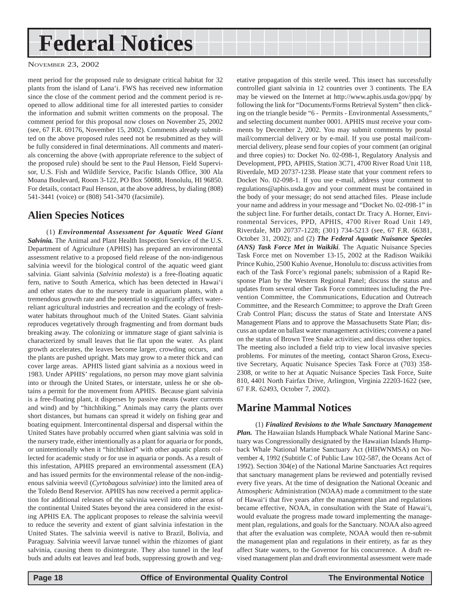## <span id="page-17-0"></span>**Federal Notices**

NOVEMBER 23, 2002

ment period for the proposed rule to designate critical habitat for 32 plants from the island of Lana'i. FWS has received new information since the close of the comment period and the comment period is reopened to allow additional time for all interested parties to consider the information and submit written comments on the proposal. The comment period for this proposal now closes on November 25, 2002 (see, 67 F.R. 69176, November 15, 2002). Comments already submitted on the above proposed rules need not be resubmitted as they will be fully considered in final determinations. All comments and materials concerning the above (with appropriate reference to the subject of the proposed rule) should be sent to the Paul Henson, Field Supervisor, U.S. Fish and Wildlife Service, Pacific Islands Office, 300 Ala Moana Boulevard, Room 3-122, PO Box 50088, Honolulu, HI 96850. For details, contact Paul Henson, at the above address, by dialing (808) 541-3441 (voice) or (808) 541-3470 (facsimile).

### **Alien Species Notices**

(1) *Environmental Assessment for Aquatic Weed Giant Salvinia.* The Animal and Plant Health Inspection Service of the U.S. Department of Agriculture (APHIS) has prepared an environmental assessment relative to a proposed field release of the non-indigenous salvinia weevil for the biological control of the aquatic weed giant salvinia. Giant salvinia (*Salvinia molesta*) is a free-floating aquatic fern, native to South America, which has been detected in Hawai'i and other states due to the nursery trade in aquarium plants, with a tremendous growth rate and the potential to significantly affect waterreliant agricultural industries and recreation and the ecology of freshwater habitats throughout much of the United States. Giant salvinia reproduces vegetatively through fragmenting and from dormant buds breaking away. The colonizing or immature stage of giant salvinia is characterized by small leaves that lie flat upon the water. As plant growth accelerates, the leaves become larger, crowding occurs, and the plants are pushed upright. Mats may grow to a meter thick and can cover large areas. APHIS listed giant salvinia as a noxious weed in 1983. Under APHIS' regulations, no person may move giant salvinia into or through the United States, or interstate, unless he or she obtains a permit for the movement from APHIS. Because giant salvinia is a free-floating plant, it disperses by passive means (water currents and wind) and by "hitchhiking." Animals may carry the plants over short distances, but humans can spread it widely on fishing gear and boating equipment. Intercontinental dispersal and dispersal within the United States have probably occurred when giant salvinia was sold in the nursery trade, either intentionally as a plant for aquaria or for ponds, or unintentionally when it "hitchhiked" with other aquatic plants collected for academic study or for use in aquaria or ponds. As a result of this infestation, APHIS prepared an environmental assessment (EA) and has issued permits for the environmental release of the non-indigenous salvinia weevil (*Cyrtobagous salviniae*) into the limited area of the Toledo Bend Reservior. APHIS has now received a permit application for additional releases of the salvinia weevil into other areas of the continental United States beyond the area considered in the existing APHIS EA. The applicant proposes to release the salvinia weevil to reduce the severity and extent of giant salvinia infestation in the United States. The salvinia weevil is native to Brazil, Bolivia, and Paraguay. Salvinia weevil larvae tunnel within the rhizomes of giant salvinia, causing them to disintegrate. They also tunnel in the leaf buds and adults eat leaves and leaf buds, suppressing growth and vegetative propagation of this sterile weed. This insect has successfully controlled giant salvinia in 12 countries over 3 continents. The EA may be viewed on the Internet at http://www.aphis.usda.gov/ppq/ by following the link for "Documents/Forms Retrieval System" then clicking on the triangle beside "6 - Permits - Environmental Assessments," and selecting document number 0001. APHIS must receive your comments by December 2, 2002. You may submit comments by postal mail/commercial delivery or by e-mail. If you use postal mail/commercial delivery, please send four copies of your comment (an original and three copies) to: Docket No. 02-098-1, Regulatory Analysis and Development, PPD, APHIS, Station 3C71, 4700 River Road Unit 118, Riverdale, MD 20737-1238. Please state that your comment refers to Docket No. 02-098-1. If you use e-mail, address your comment to regulations@aphis.usda.gov and your comment must be contained in the body of your message; do not send attached files. Please include your name and address in your message and "Docket No. 02-098-1" in the subject line. For further details, contact Dr. Tracy A. Horner, Environmental Services, PPD, APHIS, 4700 River Road Unit 149, Riverdale, MD 20737-1228; (301) 734-5213 (see, 67 F.R. 66381, October 31, 2002); and (2) *The Federal Aquatic Nuisance Species (ANS) Task Force Met in Waikiki*. The Aquatic Nuisance Species Task Force met on November 13-15, 2002 at the Radison Waikiki Prince Kuhio, 2500 Kuhio Avenue, Honolulu to: discuss activities from each of the Task Force's regional panels; submission of a Rapid Response Plan by the Western Regional Panel; discuss the status and updates from several other Task Force committees including the Prevention Committee, the Communications, Education and Outreach Committee, and the Research Committee; to approve the Draft Green Crab Control Plan; discuss the status of State and Interstate ANS Management Plans and to approve the Massachusetts State Plan; discuss an update on ballast water management activities; convene a panel on the status of Brown Tree Snake activities; and discuss other topics. The meeting also included a field trip to view local invasive species problems. For minutes of the meeting, contact Sharon Gross, Executive Secretary, Aquatic Nuisance Species Task Force at (703) 358- 2308, or write to her at Aquatic Nuisance Species Task Force, Suite 810, 4401 North Fairfax Drive, Arlington, Virginia 22203-1622 (see, 67 F.R. 62493, October 7, 2002).

### **Marine Mammal Notices**

(1) *Finalized Revisions to the Whale Sanctuary Management Plan.* The Hawaiian Islands Humpback Whale National Marine Sanctuary was Congressionally designated by the Hawaiian Islands Humpback Whale National Marine Sanctuary Act (HIHWNMSA) on November 4, 1992 (Subtitle C of Public Law 102-587, the Oceans Act of 1992). Section 304(e) of the National Marine Sanctuaries Act requires that sanctuary management plans be reviewed and potentially revised every five years. At the time of designation the National Oceanic and Atmospheric Administration (NOAA) made a commitment to the state of Hawai'i that five years after the management plan and regulations became effective, NOAA, in consultation with the State of Hawai'i, would evaluate the progress made toward implementing the management plan, regulations, and goals for the Sanctuary. NOAA also agreed that after the evaluation was complete, NOAA would then re-submit the management plan and regulations in their entirety, as far as they affect State waters, to the Governor for his concurrence. A draft revised management plan and draft environmental assessment were made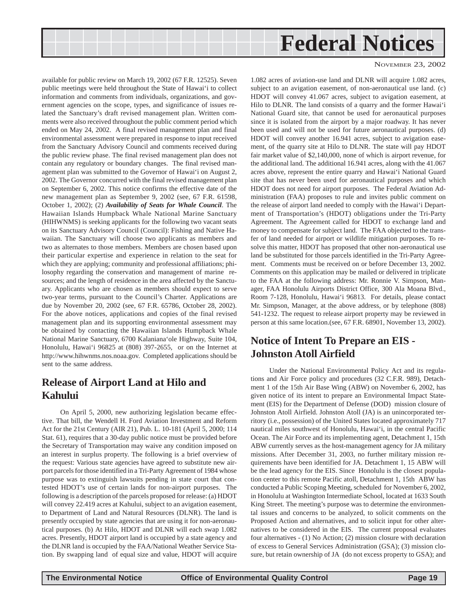<span id="page-18-0"></span>

available for public review on March 19, 2002 (67 F.R. 12525). Seven public meetings were held throughout the State of Hawai'i to collect information and comments from individuals, organizations, and government agencies on the scope, types, and significance of issues related the Sanctuary's draft revised management plan. Written comments were also received throughout the public comment period which ended on May 24, 2002. A final revised management plan and final environmental assessment were prepared in response to input received from the Sanctuary Advisory Council and comments received during the public review phase. The final revised management plan does not contain any regulatory or boundary changes. The final revised management plan was submitted to the Governor of Hawai'i on August 2, 2002. The Governor concurred with the final revised management plan on September 6, 2002. This notice confirms the effective date of the new management plan as September 9, 2002 (see, 67 F.R. 61598, October 1, 2002); (2) *Availability of Seats for Whale Council*. The Hawaiian Islands Humpback Whale National Marine Sanctuary (HIHWNMS) is seeking applicants for the following two vacant seats on its Sanctuary Advisory Council (Council): Fishing and Native Hawaiian. The Sanctuary will choose two applicants as members and two as alternates to those members. Members are chosen based upon their particular expertise and experience in relation to the seat for which they are applying; community and professional affiliations; philosophy regarding the conservation and management of marine resources; and the length of residence in the area affected by the Sanctuary. Applicants who are chosen as members should expect to serve two-year terms, pursuant to the Council's Charter. Applications are due by November 20, 2002 (see, 67 F.R. 65786, October 28, 2002). For the above notices, applications and copies of the final revised management plan and its supporting environmental assessment may be obtained by contacting the Hawaiian Islands Humpback Whale National Marine Sanctuary, 6700 Kalaniana'ole Highway, Suite 104, Honolulu, Hawai'i 96825 at (808) 397-2655, or on the Internet at http://www.hihwnms.nos.noaa.gov. Completed applications should be sent to the same address.

### **Release of Airport Land at Hilo and Kahului**

On April 5, 2000, new authorizing legislation became effective. That bill, the Wendell H. Ford Aviation Investment and Reform Act for the 21st Century (AIR 21), Pub. L. 10-181 (April 5, 2000; 114 Stat. 61), requires that a 30-day public notice must be provided before the Secretary of Transportation may waive any condition imposed on an interest in surplus property. The following is a brief overview of the request: Various state agencies have agreed to substitute new airport parcels for those identified in a Tri-Party Agreement of 1984 whose purpose was to extinguish lawsuits pending in state court that contested HDOT's use of certain lands for non-airport purposes. The following is a description of the parcels proposed for release: (a) HDOT will convey 22.419 acres at Kahului, subject to an avigation easement, to Department of Land and Natural Resources (DLNR). The land is presently occupied by state agencies that are using it for non-aeronautical purposes. (b) At Hilo, HDOT and DLNR will each swap 1.082 acres. Presently, HDOT airport land is occupied by a state agency and the DLNR land is occupied by the FAA/National Weather Service Station. By swapping land of equal size and value, HDOT will acquire

NOVEMBER 23, 2002

1.082 acres of aviation-use land and DLNR will acquire 1.082 acres, subject to an avigation easement, of non-aeronautical use land. (c) HDOT will convey 41.067 acres, subject to avigation easement, at Hilo to DLNR. The land consists of a quarry and the former Hawai'i National Guard site, that cannot be used for aeronautical purposes since it is isolated from the airport by a major roadway. It has never been used and will not be used for future aeronautical purposes. (d) HDOT will convey another 16.941 acres, subject to avigation easement, of the quarry site at Hilo to DLNR. The state will pay HDOT fair market value of \$2,140,000, none of which is airport revenue, for the additional land. The additional 16.941 acres, along with the 41.067 acres above, represent the entire quarry and Hawai'i National Guard site that has never been used for aeronautical purposes and which HDOT does not need for airport purposes. The Federal Aviation Administration (FAA) proposes to rule and invites public comment on the release of airport land needed to comply with the Hawai'i Department of Transportation's (HDOT) obligations under the Tri-Party Agreement. The Agreement called for HDOT to exchange land and money to compensate for subject land. The FAA objected to the transfer of land needed for airport or wildlife mitigation purposes. To resolve this matter, HDOT has proposed that other non-aeronautical use land be substituted for those parcels identified in the Tri-Party Agreement. Comments must be received on or before December 13, 2002. Comments on this application may be mailed or delivered in triplicate to the FAA at the following address: Mr. Ronnie V. Simpson, Manager, FAA Honolulu Airports District Office, 300 Ala Moana Blvd., Room 7-128, Honolulu, Hawai'i 96813. For details, please contact Mr. Simpson, Manager, at the above address, or by telephone (808) 541-1232. The request to release airport property may be reviewed in person at this same location.(see, 67 F.R. 68901, November 13, 2002).

### **Notice of Intent To Prepare an EIS - Johnston Atoll Airfield**

Under the National Environmental Policy Act and its regulations and Air Force policy and procedures (32 C.F.R. 989), Detachment 1 of the 15th Air Base Wing (ABW) on November 6, 2002, has given notice of its intent to prepare an Environmental Impact Statement (EIS) for the Department of Defense (DOD) mission closure of Johnston Atoll Airfield. Johnston Atoll (JA) is an unincorporated territory (i.e., possession) of the United States located approximately 717 nautical miles southwest of Honolulu, Hawai'i, in the central Pacific Ocean. The Air Force and its implementing agent, Detachment 1, 15th ABW currently serves as the host-management agency for JA military missions. After December 31, 2003, no further military mission requirements have been identified for JA. Detachment 1, 15 ABW will be the lead agency for the EIS. Since Honolulu is the closest population center to this remote Pacific atoll, Detachment 1, 15th ABW has conducted a Public Scoping Meeting, scheduled for November 6, 2002, in Honolulu at Washington Intermediate School, located at 1633 South King Street. The meeting's purpose was to determine the environmental issues and concerns to be analyzed, to solicit comments on the Proposed Action and alternatives, and to solicit input for other alternatives to be considered in the EIS. The current proposal evaluates four alternatives - (1) No Action; (2) mission closure with declaration of excess to General Services Administration (GSA); (3) mission closure, but retain ownership of JA (do not excess property to GSA); and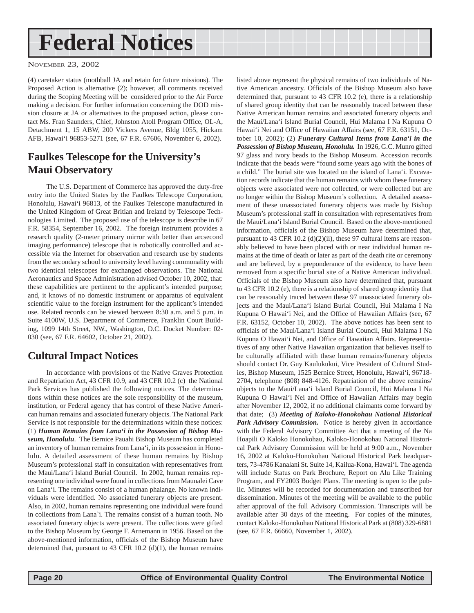## <span id="page-19-0"></span>**Federal Notices**

NOVEMBER 23, 2002

(4) caretaker status (mothball JA and retain for future missions). The Proposed Action is alternative (2); however, all comments received during the Scoping Meeting will be considered prior to the Air Force making a decision. For further information concerning the DOD mission closure at JA or alternatives to the proposed action, please contact Ms. Fran Saunders, Chief, Johnston Atoll Program Office, OL-A, Detachment 1, 15 ABW, 200 Vickers Avenue, Bldg 1055, Hickam AFB, Hawai'i 96853-5271 (see, 67 F.R. 67606, November 6, 2002).

### **Faulkes Telescope for the University's Maui Observatory**

The U.S. Department of Commerce has approved the duty-free entry into the United States by the Faulkes Telescope Corporation, Honolulu, Hawai'i 96813, of the Faulkes Telescope manufactured in the United Kingdom of Great Britian and Ireland by Telescope Technologies Limited. The proposed use of the telescope is describe in 67 F.R. 58354, September 16, 2002. The foreign instrument provides a research quality (2-meter primary mirror with better than arcsecond imaging performance) telescope that is robotically controlled and accessible via the Internet for observation and research use by students from the secondary school to university level having commonality with two identical telescopes for exchanged observations. The National Aeronautics and Space Administration advised October 10, 2002, that: these capabilities are pertinent to the applicant's intended purpose; and, it knows of no domestic instrument or apparatus of equivalent scientific value to the foreign instrument for the applicant's intended use. Related records can be viewed between 8:30 a.m. and 5 p.m. in Suite 4100W, U.S. Department of Commerce, Franklin Court Building, 1099 14th Street, NW., Washington, D.C. Docket Number: 02- 030 (see, 67 F.R. 64602, October 21, 2002).

### **Cultural Impact Notices**

In accordance with provisions of the Native Graves Protection and Repatriation Act, 43 CFR 10.9, and 43 CFR 10.2 (c) the National Park Services has published the following notices. The determinations within these notices are the sole responsibility of the museum, institution, or Federal agency that has control of these Native American human remains and associated funerary objects. The National Park Service is not responsible for the determinations within these notices: (1) *Human Remains from Lana'i in the Possession of Bishop Museum, Honolulu*. The Bernice Pauahi Bishop Museum has completed an inventory of human remains from Lana'i, in its possession in Honolulu. A detailed assessment of these human remains by Bishop Museum's professional staff in consultation with representatives from the Maui/Lana'i Island Burial Council. In 2002, human remains representing one individual were found in collections from Maunalei Cave on Lana'i. The remains consist of a human phalange. No known individuals were identified. No associated funerary objects are present. Also, in 2002, human remains representing one individual were found in collections from Lana`i. The remains consist of a human tooth. No associated funerary objects were present. The collections were gifted to the Bishop Museum by George F. Arnemann in 1956. Based on the above-mentioned information, officials of the Bishop Museum have determined that, pursuant to 43 CFR 10.2 (d)(1), the human remains

listed above represent the physical remains of two individuals of Native American ancestry. Officials of the Bishop Museum also have determined that, pursuant to 43 CFR 10.2 (e), there is a relationship of shared group identity that can be reasonably traced between these Native American human remains and associated funerary objects and the Maui/Lana'i Island Burial Council, Hui Malama I Na Kupuna O Hawai'i Nei and Office of Hawaiian Affairs (see, 67 F.R. 63151, October 10, 2002); (2) *Funerary Cultural Items from Lana'i in the Possession of Bishop Museum, Honolulu.* In 1926, G.C. Munro gifted 97 glass and ivory beads to the Bishop Museum. Accession records indicate that the beads were "found some years ago with the bones of a child." The burial site was located on the island of Lana'i. Excavation records indicate that the human remains with whom these funerary objects were associated were not collected, or were collected but are no longer within the Bishop Museum's collection. A detailed assessment of these unassociated funerary objects was made by Bishop Museum's professional staff in consultation with representatives from the Maui/Lana'i Island Burial Council. Based on the above-mentioned information, officials of the Bishop Museum have determined that, pursuant to 43 CFR 10.2 (d)(2)(ii), these 97 cultural items are reasonably believed to have been placed with or near individual human remains at the time of death or later as part of the death rite or ceremony and are believed, by a preponderance of the evidence, to have been removed from a specific burial site of a Native American individual. Officials of the Bishop Museum also have determined that, pursuant to 43 CFR 10.2 (e), there is a relationship of shared group identity that can be reasonably traced between these 97 unassociated funerary objects and the Maui/Lana'i Island Burial Council, Hui Malama I Na Kupuna O Hawai'i Nei, and the Office of Hawaiian Affairs (see, 67 F.R. 63152, October 10, 2002). The above notices has been sent to officials of the Maui/Lana'i Island Burial Council, Hui Malama I Na Kupuna O Hawai'i Nei, and Office of Hawaiian Affairs. Representatives of any other Native Hawaiian organization that believes itself to be culturally affiliated with these human remains/funerary objects should contact Dr. Guy Kaulukukui, Vice President of Cultural Studies, Bishop Museum, 1525 Bernice Street, Honolulu, Hawai'i, 96718- 2704, telephone (808) 848-4126. Repatriation of the above remains/ objects to the Maui/Lana'i Island Burial Council, Hui Malama I Na Kupuna O Hawai'i Nei and Office of Hawaiian Affairs may begin after November 12, 2002, if no additional claimants come forward by that date; (3) *Meeting of Kaloko-Honokohau National Historical Park Advisory Commission.* Notice is hereby given in accordance with the Federal Advisory Committee Act that a meeting of the Na Hoapili O Kaloko Honokohau, Kaloko-Honokohau National Historical Park Advisory Commission will be held at 9:00 a.m., November 16, 2002 at Kaloko-Honokohau National Historical Park headquarters, 73-4786 Kanalani St. Suite 14, Kailua-Kona, Hawai'i. The agenda will include Status on Park Brochure, Report on Alu Like Training Program, and FY2003 Budget Plans. The meeting is open to the public. Minutes will be recorded for documentation and transcribed for dissemination. Minutes of the meeting will be available to the public after approval of the full Advisory Commission. Transcripts will be available after 30 days of the meeting. For copies of the minutes, contact Kaloko-Honokohau National Historical Park at (808) 329-6881 (see, 67 F.R. 66660, November 1, 2002).